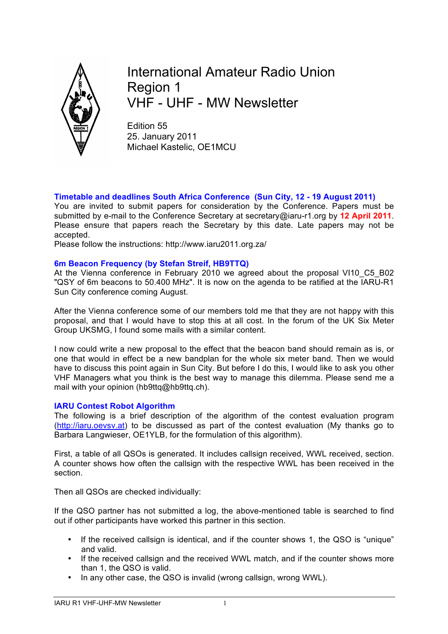

International Amateur Radio Union Region 1 VHF - UHF - MW Newsletter

Edition 55 25. January 2011 Michael Kastelic, OE1MCU

## **Timetable and deadlines South Africa Conference (Sun City, 12 - 19 August 2011)**

You are invited to submit papers for consideration by the Conference. Papers must be submitted by e-mail to the Conference Secretary at secretary@iaru-r1.org by **12 April 2011**. Please ensure that papers reach the Secretary by this date. Late papers may not be accepted.

Please follow the instructions: http://www.iaru2011.org.za/

## **6m Beacon Frequency (by Stefan Streif, HB9TTQ)**

At the Vienna conference in February 2010 we agreed about the proposal VI10\_C5\_B02 "QSY of 6m beacons to 50.400 MHz". It is now on the agenda to be ratified at the IARU-R1 Sun City conference coming August.

After the Vienna conference some of our members told me that they are not happy with this proposal, and that I would have to stop this at all cost. In the forum of the UK Six Meter Group UKSMG, I found some mails with a similar content.

I now could write a new proposal to the effect that the beacon band should remain as is, or one that would in effect be a new bandplan for the whole six meter band. Then we would have to discuss this point again in Sun City. But before I do this, I would like to ask you other VHF Managers what you think is the best way to manage this dilemma. Please send me a mail with your opinion (hb9ttq@hb9ttq.ch).

## **IARU Contest Robot Algorithm**

The following is a brief description of the algorithm of the contest evaluation program (http://iaru.oevsv.at) to be discussed as part of the contest evaluation (My thanks go to Barbara Langwieser, OE1YLB, for the formulation of this algorithm).

First, a table of all QSOs is generated. It includes callsign received, WWL received, section. A counter shows how often the callsign with the respective WWL has been received in the section.

Then all QSOs are checked individually:

If the QSO partner has not submitted a log, the above-mentioned table is searched to find out if other participants have worked this partner in this section.

- If the received callsign is identical, and if the counter shows 1, the QSO is "unique" and valid.
- If the received callsign and the received WWL match, and if the counter shows more than 1, the QSO is valid.
- In any other case, the QSO is invalid (wrong callsign, wrong WWL).